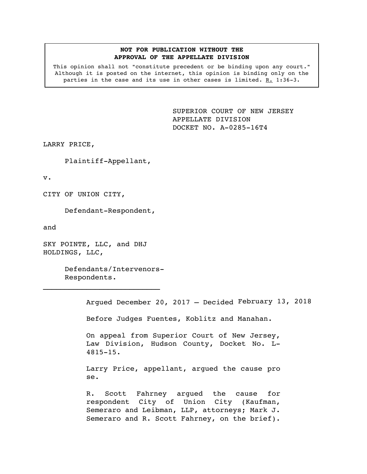## **NOT FOR PUBLICATION WITHOUT THE APPROVAL OF THE APPELLATE DIVISION**

This opinion shall not "constitute precedent or be binding upon any court." Although it is posted on the internet, this opinion is binding only on the parties in the case and its use in other cases is limited. R. 1:36-3.

> SUPERIOR COURT OF NEW JERSEY APPELLATE DIVISION DOCKET NO. A-0285-16T4

LARRY PRICE,

Plaintiff-Appellant,

v.

CITY OF UNION CITY,

Defendant-Respondent,

and

SKY POINTE, LLC, and DHJ HOLDINGS, LLC,

 $\mathcal{L}_\text{max}$ 

Defendants/Intervenors-Respondents.

Argued December 20, 2017 – Decided February 13, 2018

Before Judges Fuentes, Koblitz and Manahan.

On appeal from Superior Court of New Jersey, Law Division, Hudson County, Docket No. L-4815-15.

Larry Price, appellant, argued the cause pro se.

R. Scott Fahrney argued the cause for respondent City of Union City (Kaufman, Semeraro and Leibman, LLP, attorneys; Mark J. Semeraro and R. Scott Fahrney, on the brief).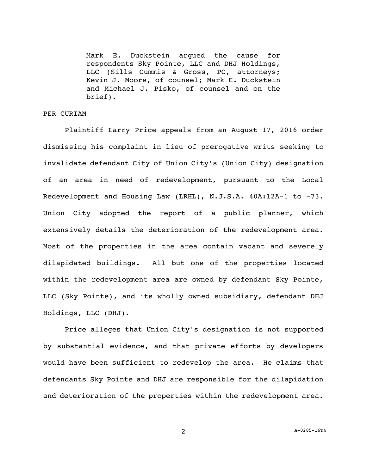Mark E. Duckstein argued the cause for respondents Sky Pointe, LLC and DHJ Holdings, LLC (Sills Cummis & Gross, PC, attorneys; Kevin J. Moore, of counsel; Mark E. Duckstein and Michael J. Pisko, of counsel and on the brief).

## PER CURIAM

Plaintiff Larry Price appeals from an August 17, 2016 order dismissing his complaint in lieu of prerogative writs seeking to invalidate defendant City of Union City's (Union City) designation of an area in need of redevelopment, pursuant to the Local Redevelopment and Housing Law (LRHL), N.J.S.A. 40A:12A-1 to -73. Union City adopted the report of a public planner, which extensively details the deterioration of the redevelopment area. Most of the properties in the area contain vacant and severely dilapidated buildings. All but one of the properties located within the redevelopment area are owned by defendant Sky Pointe, LLC (Sky Pointe), and its wholly owned subsidiary, defendant DHJ Holdings, LLC (DHJ).

Price alleges that Union City's designation is not supported by substantial evidence, and that private efforts by developers would have been sufficient to redevelop the area. He claims that defendants Sky Pointe and DHJ are responsible for the dilapidation and deterioration of the properties within the redevelopment area.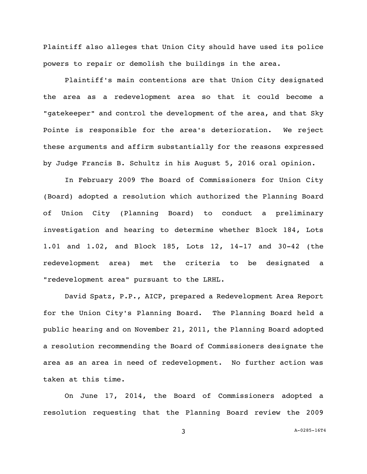Plaintiff also alleges that Union City should have used its police powers to repair or demolish the buildings in the area.

Plaintiff's main contentions are that Union City designated the area as a redevelopment area so that it could become a "gatekeeper" and control the development of the area, and that Sky Pointe is responsible for the area's deterioration. We reject these arguments and affirm substantially for the reasons expressed by Judge Francis B. Schultz in his August 5, 2016 oral opinion.

In February 2009 The Board of Commissioners for Union City (Board) adopted a resolution which authorized the Planning Board of Union City (Planning Board) to conduct a preliminary investigation and hearing to determine whether Block 184, Lots 1.01 and 1.02, and Block 185, Lots 12, 14-17 and 30-42 (the redevelopment area) met the criteria to be designated a "redevelopment area" pursuant to the LRHL.

David Spatz, P.P., AICP, prepared a Redevelopment Area Report for the Union City's Planning Board. The Planning Board held a public hearing and on November 21, 2011, the Planning Board adopted a resolution recommending the Board of Commissioners designate the area as an area in need of redevelopment. No further action was taken at this time.

On June 17, 2014, the Board of Commissioners adopted a resolution requesting that the Planning Board review the 2009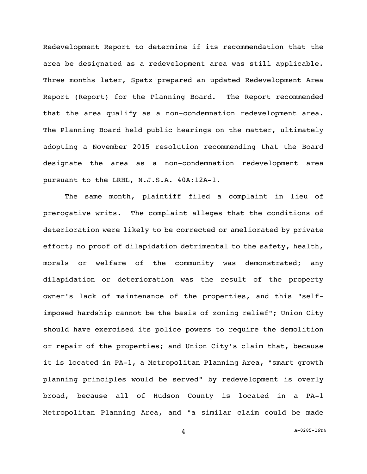Redevelopment Report to determine if its recommendation that the area be designated as a redevelopment area was still applicable. Three months later, Spatz prepared an updated Redevelopment Area Report (Report) for the Planning Board. The Report recommended that the area qualify as a non-condemnation redevelopment area. The Planning Board held public hearings on the matter, ultimately adopting a November 2015 resolution recommending that the Board designate the area as a non-condemnation redevelopment area pursuant to the LRHL, N.J.S.A. 40A:12A-1.

The same month, plaintiff filed a complaint in lieu of prerogative writs. The complaint alleges that the conditions of deterioration were likely to be corrected or ameliorated by private effort; no proof of dilapidation detrimental to the safety, health, morals or welfare of the community was demonstrated; any dilapidation or deterioration was the result of the property owner's lack of maintenance of the properties, and this "selfimposed hardship cannot be the basis of zoning relief"; Union City should have exercised its police powers to require the demolition or repair of the properties; and Union City's claim that, because it is located in PA-1, a Metropolitan Planning Area, "smart growth planning principles would be served" by redevelopment is overly broad, because all of Hudson County is located in a PA-1 Metropolitan Planning Area, and "a similar claim could be made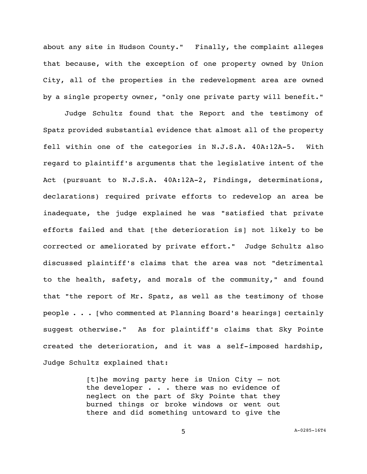about any site in Hudson County." Finally, the complaint alleges that because, with the exception of one property owned by Union City, all of the properties in the redevelopment area are owned by a single property owner, "only one private party will benefit."

Judge Schultz found that the Report and the testimony of Spatz provided substantial evidence that almost all of the property fell within one of the categories in N.J.S.A. 40A:12A-5. With regard to plaintiff's arguments that the legislative intent of the Act (pursuant to N.J.S.A. 40A:12A-2, Findings, determinations, declarations) required private efforts to redevelop an area be inadequate, the judge explained he was "satisfied that private efforts failed and that [the deterioration is] not likely to be corrected or ameliorated by private effort." Judge Schultz also discussed plaintiff's claims that the area was not "detrimental to the health, safety, and morals of the community," and found that "the report of Mr. Spatz, as well as the testimony of those people . . . [who commented at Planning Board's hearings] certainly suggest otherwise." As for plaintiff's claims that Sky Pointe created the deterioration, and it was a self-imposed hardship, Judge Schultz explained that:

> [t]he moving party here is Union City – not the developer . . . there was no evidence of neglect on the part of Sky Pointe that they burned things or broke windows or went out there and did something untoward to give the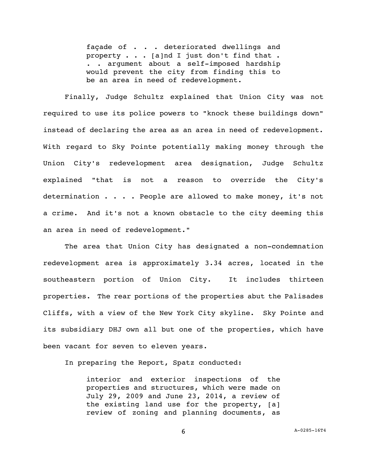façade of . . . deteriorated dwellings and property . . . [a]nd I just don't find that . . . argument about a self-imposed hardship would prevent the city from finding this to be an area in need of redevelopment.

Finally, Judge Schultz explained that Union City was not required to use its police powers to "knock these buildings down" instead of declaring the area as an area in need of redevelopment. With regard to Sky Pointe potentially making money through the Union City's redevelopment area designation, Judge Schultz explained "that is not a reason to override the City's determination . . . . People are allowed to make money, it's not a crime. And it's not a known obstacle to the city deeming this an area in need of redevelopment."

The area that Union City has designated a non-condemnation redevelopment area is approximately 3.34 acres, located in the southeastern portion of Union City. It includes thirteen properties. The rear portions of the properties abut the Palisades Cliffs, with a view of the New York City skyline. Sky Pointe and its subsidiary DHJ own all but one of the properties, which have been vacant for seven to eleven years.

In preparing the Report, Spatz conducted:

interior and exterior inspections of the properties and structures, which were made on July 29, 2009 and June 23, 2014, a review of the existing land use for the property, [a] review of zoning and planning documents, as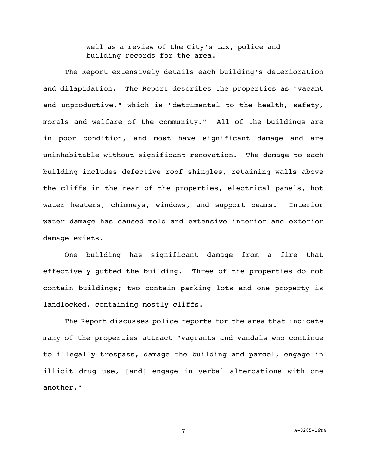well as a review of the City's tax, police and building records for the area.

The Report extensively details each building's deterioration and dilapidation. The Report describes the properties as "vacant and unproductive," which is "detrimental to the health, safety, morals and welfare of the community." All of the buildings are in poor condition, and most have significant damage and are uninhabitable without significant renovation. The damage to each building includes defective roof shingles, retaining walls above the cliffs in the rear of the properties, electrical panels, hot water heaters, chimneys, windows, and support beams. Interior water damage has caused mold and extensive interior and exterior damage exists.

One building has significant damage from a fire that effectively gutted the building. Three of the properties do not contain buildings; two contain parking lots and one property is landlocked, containing mostly cliffs.

The Report discusses police reports for the area that indicate many of the properties attract "vagrants and vandals who continue to illegally trespass, damage the building and parcel, engage in illicit drug use, [and] engage in verbal altercations with one another."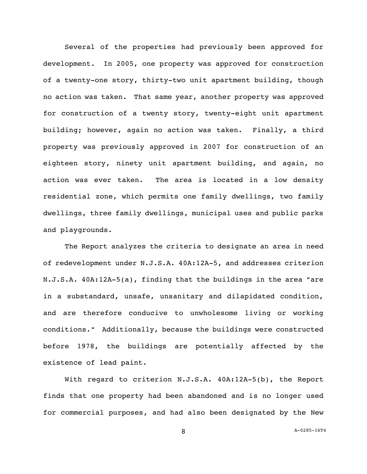Several of the properties had previously been approved for development. In 2005, one property was approved for construction of a twenty-one story, thirty-two unit apartment building, though no action was taken. That same year, another property was approved for construction of a twenty story, twenty-eight unit apartment building; however, again no action was taken. Finally, a third property was previously approved in 2007 for construction of an eighteen story, ninety unit apartment building, and again, no action was ever taken. The area is located in a low density residential zone, which permits one family dwellings, two family dwellings, three family dwellings, municipal uses and public parks and playgrounds.

The Report analyzes the criteria to designate an area in need of redevelopment under N.J.S.A. 40A:12A-5, and addresses criterion N.J.S.A. 40A:12A-5(a), finding that the buildings in the area "are in a substandard, unsafe, unsanitary and dilapidated condition, and are therefore conducive to unwholesome living or working conditions." Additionally, because the buildings were constructed before 1978, the buildings are potentially affected by the existence of lead paint.

With regard to criterion N.J.S.A. 40A:12A-5(b), the Report finds that one property had been abandoned and is no longer used for commercial purposes, and had also been designated by the New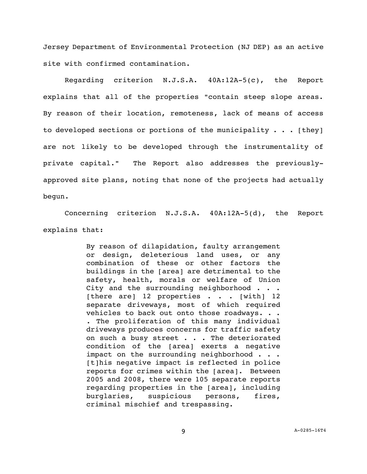Jersey Department of Environmental Protection (NJ DEP) as an active site with confirmed contamination.

Regarding criterion N.J.S.A. 40A:12A-5(c), the Report explains that all of the properties "contain steep slope areas. By reason of their location, remoteness, lack of means of access to developed sections or portions of the municipality  $\cdots$  [they] are not likely to be developed through the instrumentality of private capital." The Report also addresses the previouslyapproved site plans, noting that none of the projects had actually begun.

Concerning criterion N.J.S.A. 40A:12A-5(d), the Report explains that:

> By reason of dilapidation, faulty arrangement or design, deleterious land uses, or any combination of these or other factors the buildings in the [area] are detrimental to the safety, health, morals or welfare of Union City and the surrounding neighborhood . . . [there are] 12 properties . . . [with] 12 separate driveways, most of which required vehicles to back out onto those roadways. . . . The proliferation of this many individual driveways produces concerns for traffic safety on such a busy street . . . The deteriorated condition of the [area] exerts a negative impact on the surrounding neighborhood . . . [t]his negative impact is reflected in police reports for crimes within the [area]. Between 2005 and 2008, there were 105 separate reports regarding properties in the [area], including burglaries, suspicious persons, fires, criminal mischief and trespassing.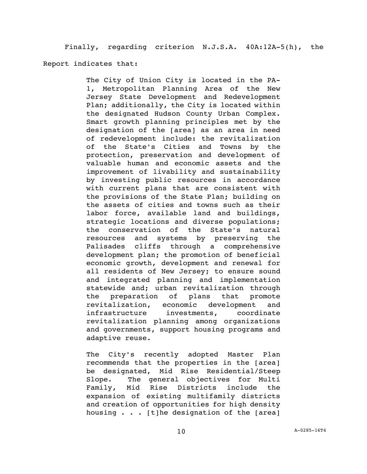Finally, regarding criterion N.J.S.A. 40A:12A-5(h), the

Report indicates that:

The City of Union City is located in the PA-1, Metropolitan Planning Area of the New Jersey State Development and Redevelopment Plan; additionally, the City is located within the designated Hudson County Urban Complex. Smart growth planning principles met by the designation of the [area] as an area in need of redevelopment include: the revitalization of the State's Cities and Towns by the protection, preservation and development of valuable human and economic assets and the improvement of livability and sustainability by investing public resources in accordance with current plans that are consistent with the provisions of the State Plan; building on the assets of cities and towns such as their labor force, available land and buildings, strategic locations and diverse populations; the conservation of the State's natural resources and systems by preserving the Palisades cliffs through a comprehensive development plan; the promotion of beneficial economic growth, development and renewal for all residents of New Jersey; to ensure sound and integrated planning and implementation statewide and; urban revitalization through the preparation of plans that promote revitalization, economic development and infrastructure investments, coordinate revitalization planning among organizations and governments, support housing programs and adaptive reuse.

The City's recently adopted Master Plan recommends that the properties in the [area] be designated, Mid Rise Residential/Steep Slope. The general objectives for Multi Family, Mid Rise Districts include the expansion of existing multifamily districts and creation of opportunities for high density housing . . . [t]he designation of the [area]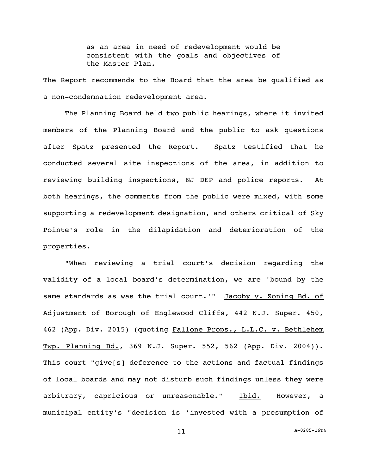as an area in need of redevelopment would be consistent with the goals and objectives of the Master Plan.

The Report recommends to the Board that the area be qualified as a non-condemnation redevelopment area.

The Planning Board held two public hearings, where it invited members of the Planning Board and the public to ask questions after Spatz presented the Report. Spatz testified that he conducted several site inspections of the area, in addition to reviewing building inspections, NJ DEP and police reports. At both hearings, the comments from the public were mixed, with some supporting a redevelopment designation, and others critical of Sky Pointe's role in the dilapidation and deterioration of the properties.

"When reviewing a trial court's decision regarding the validity of a local board's determination, we are 'bound by the same standards as was the trial court.'" Jacoby v. Zoning Bd. of Adjustment of Borough of Englewood Cliffs, 442 N.J. Super. 450, 462 (App. Div. 2015) (quoting Fallone Props., L.L.C. v. Bethlehem Twp. Planning Bd., 369 N.J. Super. 552, 562 (App. Div. 2004)). This court "give[s] deference to the actions and factual findings of local boards and may not disturb such findings unless they were arbitrary, capricious or unreasonable." Ibid. However, a municipal entity's "decision is 'invested with a presumption of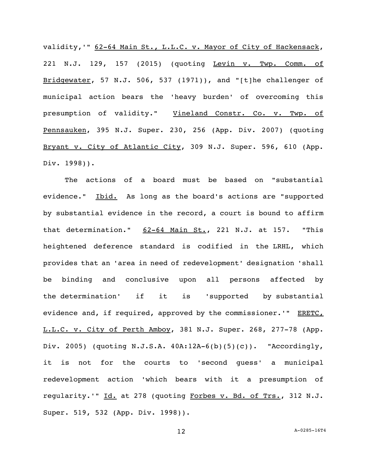validity, '" 62-64 Main St., L.L.C. v. Mayor of City of Hackensack, 221 N.J. 129, 157 (2015) (quoting Levin v. Twp. Comm. of Bridgewater, 57 N.J. 506, 537 (1971)), and "[t]he challenger of municipal action bears the 'heavy burden' of overcoming this presumption of validity." Vineland Constr. Co. v. Twp. of Pennsauken, 395 N.J. Super. 230, 256 (App. Div. 2007) (quoting Bryant v. City of Atlantic City, 309 N.J. Super. 596, 610 (App. Div. 1998)).

The actions of a board must be based on "substantial evidence." Ibid. As long as the board's actions are "supported by substantial evidence in the record, a court is bound to affirm that determination."  $62-64$  Main St., 221 N.J. at 157. "This heightened deference standard is codified in the LRHL, which provides that an 'area in need of redevelopment' designation 'shall be binding and conclusive upon all persons affected by the determination' if it is 'supported by substantial evidence and, if required, approved by the commissioner.'" ERETC, L.L.C. v. City of Perth Amboy, 381 N.J. Super. 268, 277-78 (App. Div. 2005) (quoting N.J.S.A. 40A:12A-6(b)(5)(c)). "Accordingly, it is not for the courts to 'second guess' a municipal redevelopment action 'which bears with it a presumption of regularity.'" Id. at 278 (quoting Forbes v. Bd. of Trs., 312 N.J. Super. 519, 532 (App. Div. 1998)).